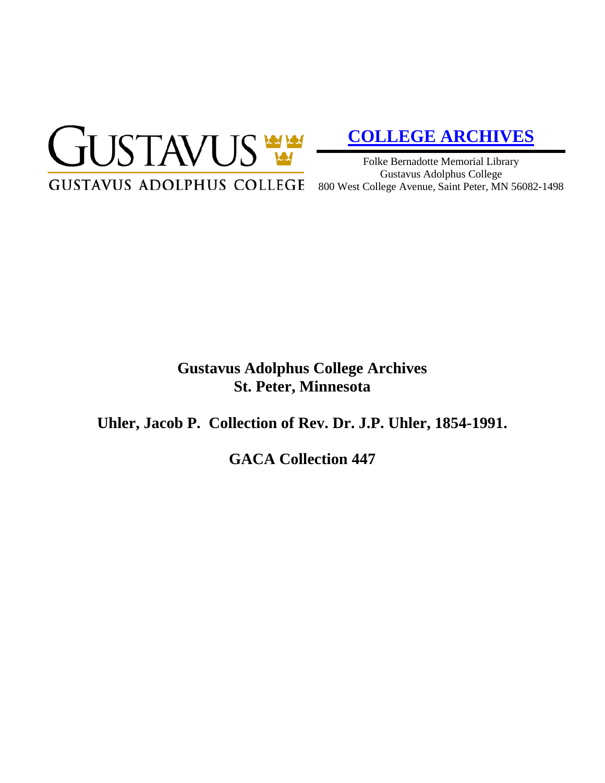

# **[COLLEGE ARCHIVES](http://gustavus.edu/academics/library/archives/)**

Folke Bernadotte Memorial Library Gustavus Adolphus College 800 West College Avenue, Saint Peter, MN 56082-1498

### **Gustavus Adolphus College Archives St. Peter, Minnesota**

**Uhler, Jacob P. Collection of Rev. Dr. J.P. Uhler, 1854-1991.**

**GACA Collection 447**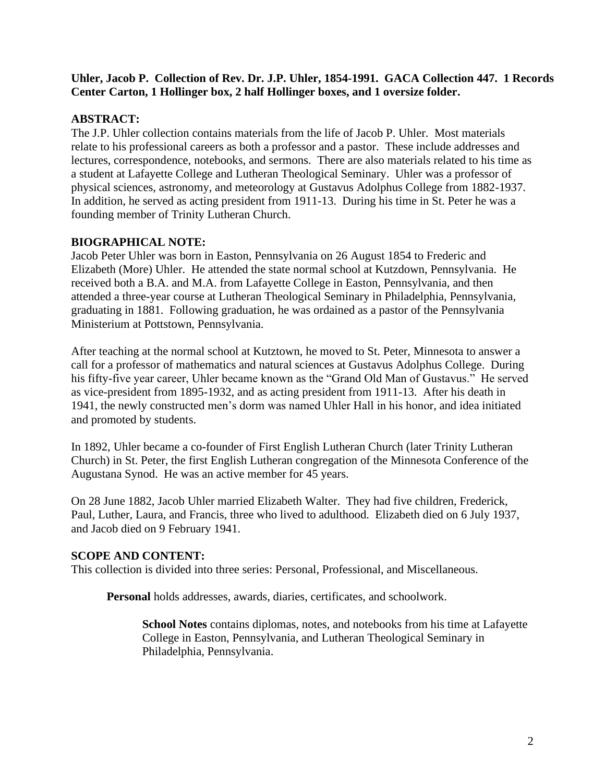#### **Uhler, Jacob P. Collection of Rev. Dr. J.P. Uhler, 1854-1991. GACA Collection 447. 1 Records Center Carton, 1 Hollinger box, 2 half Hollinger boxes, and 1 oversize folder.**

#### **ABSTRACT:**

The J.P. Uhler collection contains materials from the life of Jacob P. Uhler. Most materials relate to his professional careers as both a professor and a pastor. These include addresses and lectures, correspondence, notebooks, and sermons. There are also materials related to his time as a student at Lafayette College and Lutheran Theological Seminary. Uhler was a professor of physical sciences, astronomy, and meteorology at Gustavus Adolphus College from 1882-1937. In addition, he served as acting president from 1911-13. During his time in St. Peter he was a founding member of Trinity Lutheran Church.

#### **BIOGRAPHICAL NOTE:**

Jacob Peter Uhler was born in Easton, Pennsylvania on 26 August 1854 to Frederic and Elizabeth (More) Uhler. He attended the state normal school at Kutzdown, Pennsylvania. He received both a B.A. and M.A. from Lafayette College in Easton, Pennsylvania, and then attended a three-year course at Lutheran Theological Seminary in Philadelphia, Pennsylvania, graduating in 1881. Following graduation, he was ordained as a pastor of the Pennsylvania Ministerium at Pottstown, Pennsylvania.

After teaching at the normal school at Kutztown, he moved to St. Peter, Minnesota to answer a call for a professor of mathematics and natural sciences at Gustavus Adolphus College. During his fifty-five year career, Uhler became known as the "Grand Old Man of Gustavus." He served as vice-president from 1895-1932, and as acting president from 1911-13. After his death in 1941, the newly constructed men's dorm was named Uhler Hall in his honor, and idea initiated and promoted by students.

In 1892, Uhler became a co-founder of First English Lutheran Church (later Trinity Lutheran Church) in St. Peter, the first English Lutheran congregation of the Minnesota Conference of the Augustana Synod. He was an active member for 45 years.

On 28 June 1882, Jacob Uhler married Elizabeth Walter. They had five children, Frederick, Paul, Luther, Laura, and Francis, three who lived to adulthood. Elizabeth died on 6 July 1937, and Jacob died on 9 February 1941.

#### **SCOPE AND CONTENT:**

This collection is divided into three series: Personal, Professional, and Miscellaneous.

**Personal** holds addresses, awards, diaries, certificates, and schoolwork.

**School Notes** contains diplomas, notes, and notebooks from his time at Lafayette College in Easton, Pennsylvania, and Lutheran Theological Seminary in Philadelphia, Pennsylvania.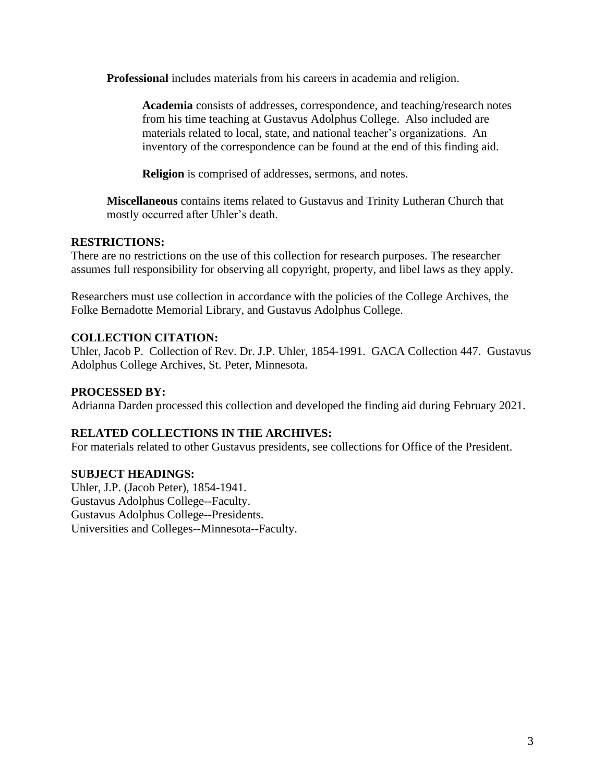**Professional** includes materials from his careers in academia and religion.

**Academia** consists of addresses, correspondence, and teaching/research notes from his time teaching at Gustavus Adolphus College. Also included are materials related to local, state, and national teacher's organizations. An inventory of the correspondence can be found at the end of this finding aid.

**Religion** is comprised of addresses, sermons, and notes.

**Miscellaneous** contains items related to Gustavus and Trinity Lutheran Church that mostly occurred after Uhler's death.

#### **RESTRICTIONS:**

There are no restrictions on the use of this collection for research purposes. The researcher assumes full responsibility for observing all copyright, property, and libel laws as they apply.

Researchers must use collection in accordance with the policies of the College Archives, the Folke Bernadotte Memorial Library, and Gustavus Adolphus College.

#### **COLLECTION CITATION:**

Uhler, Jacob P. Collection of Rev. Dr. J.P. Uhler, 1854-1991. GACA Collection 447. Gustavus Adolphus College Archives, St. Peter, Minnesota.

#### **PROCESSED BY:**

Adrianna Darden processed this collection and developed the finding aid during February 2021.

#### **RELATED COLLECTIONS IN THE ARCHIVES:**

For materials related to other Gustavus presidents, see collections for Office of the President.

#### **SUBJECT HEADINGS:**

Uhler, J.P. (Jacob Peter), 1854-1941. Gustavus Adolphus College--Faculty. Gustavus Adolphus College--Presidents. Universities and Colleges--Minnesota--Faculty.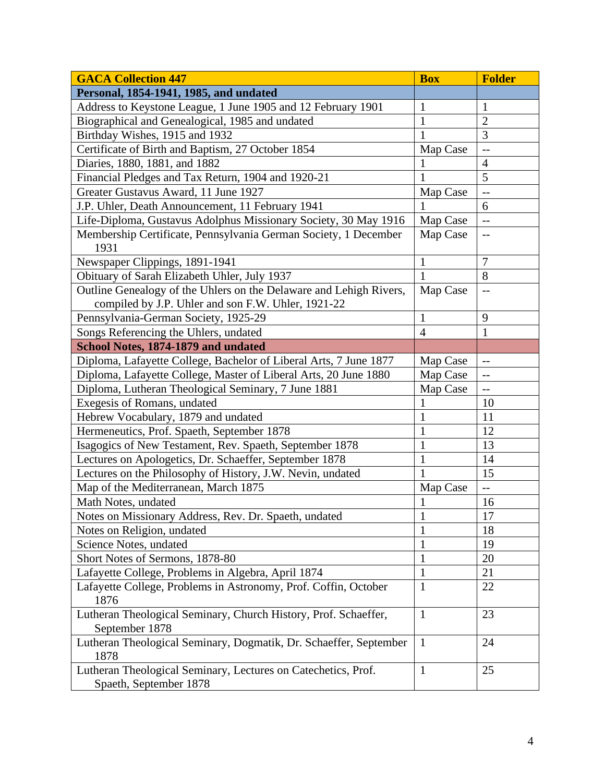| <b>GACA Collection 447</b>                                                              | <b>Box</b>     | <b>Folder</b>            |
|-----------------------------------------------------------------------------------------|----------------|--------------------------|
| Personal, 1854-1941, 1985, and undated                                                  |                |                          |
| Address to Keystone League, 1 June 1905 and 12 February 1901                            | $\mathbf{1}$   | 1                        |
| Biographical and Genealogical, 1985 and undated                                         | $\mathbf{1}$   | $\overline{2}$           |
| Birthday Wishes, 1915 and 1932                                                          | $\mathbf{1}$   | 3                        |
| Certificate of Birth and Baptism, 27 October 1854                                       | Map Case       | $\overline{\phantom{a}}$ |
| Diaries, 1880, 1881, and 1882                                                           | 1              | $\overline{4}$           |
| Financial Pledges and Tax Return, 1904 and 1920-21                                      | 1              | 5                        |
| Greater Gustavus Award, 11 June 1927                                                    | Map Case       | $\overline{a}$           |
| J.P. Uhler, Death Announcement, 11 February 1941                                        | 1              | 6                        |
| Life-Diploma, Gustavus Adolphus Missionary Society, 30 May 1916                         | Map Case       | $\overline{\phantom{a}}$ |
| Membership Certificate, Pennsylvania German Society, 1 December<br>1931                 | Map Case       | $-$                      |
| Newspaper Clippings, 1891-1941                                                          | 1              | 7                        |
| Obituary of Sarah Elizabeth Uhler, July 1937                                            | $\mathbf{1}$   | 8                        |
| Outline Genealogy of the Uhlers on the Delaware and Lehigh Rivers,                      | Map Case       | $-$                      |
| compiled by J.P. Uhler and son F.W. Uhler, 1921-22                                      |                |                          |
| Pennsylvania-German Society, 1925-29                                                    | 1              | 9                        |
| Songs Referencing the Uhlers, undated                                                   | $\overline{4}$ | $\mathbf{1}$             |
| School Notes, 1874-1879 and undated                                                     |                |                          |
| Diploma, Lafayette College, Bachelor of Liberal Arts, 7 June 1877                       | Map Case       | $-$                      |
| Diploma, Lafayette College, Master of Liberal Arts, 20 June 1880                        | Map Case       | $\qquad \qquad -$        |
| Diploma, Lutheran Theological Seminary, 7 June 1881                                     | Map Case       | $\overline{\phantom{m}}$ |
| Exegesis of Romans, undated                                                             | 1              | 10                       |
| Hebrew Vocabulary, 1879 and undated                                                     | $\mathbf{1}$   | 11                       |
| Hermeneutics, Prof. Spaeth, September 1878                                              | $\mathbf{1}$   | 12                       |
| Isagogics of New Testament, Rev. Spaeth, September 1878                                 | $\mathbf{1}$   | 13                       |
| Lectures on Apologetics, Dr. Schaeffer, September 1878                                  | $\mathbf{1}$   | 14                       |
| Lectures on the Philosophy of History, J.W. Nevin, undated                              | $\mathbf{1}$   | 15                       |
| Map of the Mediterranean, March 1875                                                    | Map Case       | $\overline{\phantom{a}}$ |
| Math Notes, undated                                                                     | $\mathbf{1}$   | 16                       |
| Notes on Missionary Address, Rev. Dr. Spaeth, undated                                   | $\mathbf{I}$   | 17                       |
| Notes on Religion, undated                                                              | $\mathbf{1}$   | 18                       |
| Science Notes, undated                                                                  | $\mathbf{1}$   | 19                       |
| Short Notes of Sermons, 1878-80                                                         | $\mathbf{1}$   | 20                       |
| Lafayette College, Problems in Algebra, April 1874                                      | $\mathbf{1}$   | 21                       |
| Lafayette College, Problems in Astronomy, Prof. Coffin, October<br>1876                 | $\mathbf{1}$   | 22                       |
| Lutheran Theological Seminary, Church History, Prof. Schaeffer,<br>September 1878       | $\mathbf{1}$   | 23                       |
| Lutheran Theological Seminary, Dogmatik, Dr. Schaeffer, September<br>1878               | $\mathbf{1}$   | 24                       |
| Lutheran Theological Seminary, Lectures on Catechetics, Prof.<br>Spaeth, September 1878 | $\mathbf{1}$   | 25                       |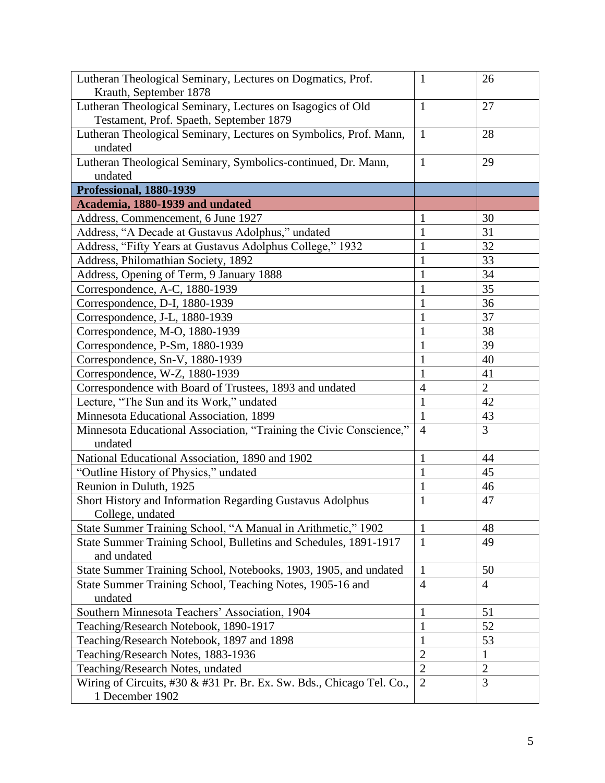| Lutheran Theological Seminary, Lectures on Dogmatics, Prof.                                            | $\mathbf{1}$   | 26             |
|--------------------------------------------------------------------------------------------------------|----------------|----------------|
| Krauth, September 1878                                                                                 |                |                |
| Lutheran Theological Seminary, Lectures on Isagogics of Old<br>Testament, Prof. Spaeth, September 1879 | $\mathbf{1}$   | 27             |
| Lutheran Theological Seminary, Lectures on Symbolics, Prof. Mann,                                      | $\mathbf{1}$   | 28             |
| undated                                                                                                |                |                |
| Lutheran Theological Seminary, Symbolics-continued, Dr. Mann,                                          | $\mathbf{1}$   | 29             |
| undated                                                                                                |                |                |
| Professional, 1880-1939                                                                                |                |                |
| Academia, 1880-1939 and undated                                                                        |                |                |
| Address, Commencement, 6 June 1927                                                                     | $\mathbf{1}$   | 30             |
| Address, "A Decade at Gustavus Adolphus," undated                                                      | $\mathbf{1}$   | 31             |
| Address, "Fifty Years at Gustavus Adolphus College," 1932                                              | $\mathbf{1}$   | 32             |
| Address, Philomathian Society, 1892                                                                    | $\mathbf{1}$   | 33             |
| Address, Opening of Term, 9 January 1888                                                               | $\mathbf{1}$   | 34             |
| Correspondence, A-C, 1880-1939                                                                         | $\mathbf{1}$   | 35             |
| Correspondence, D-I, 1880-1939                                                                         | 1              | 36             |
| Correspondence, J-L, 1880-1939                                                                         | $\mathbf{1}$   | 37             |
| Correspondence, M-O, 1880-1939                                                                         | $\mathbf{1}$   | 38             |
| Correspondence, P-Sm, 1880-1939                                                                        | $\mathbf{1}$   | 39             |
| Correspondence, Sn-V, 1880-1939                                                                        | 1              | 40             |
| Correspondence, W-Z, 1880-1939                                                                         | $\mathbf{1}$   | 41             |
| Correspondence with Board of Trustees, 1893 and undated                                                | $\overline{4}$ | $\overline{2}$ |
| Lecture, "The Sun and its Work," undated                                                               | $\mathbf{1}$   | 42             |
| Minnesota Educational Association, 1899                                                                | $\mathbf{1}$   | 43             |
| Minnesota Educational Association, "Training the Civic Conscience,"                                    | $\overline{4}$ | 3              |
| undated                                                                                                |                |                |
| National Educational Association, 1890 and 1902                                                        | $\mathbf{1}$   | 44             |
| "Outline History of Physics," undated                                                                  | $\mathbf{1}$   | 45             |
| Reunion in Duluth, 1925                                                                                | $\mathbf{1}$   | 46             |
| Short History and Information Regarding Gustavus Adolphus                                              | $\mathbf{1}$   | 47             |
| College, undated                                                                                       |                |                |
| State Summer Training School, "A Manual in Arithmetic," 1902                                           | $\mathbf{1}$   | 48             |
| State Summer Training School, Bulletins and Schedules, 1891-1917                                       | $\mathbf{1}$   | 49             |
| and undated                                                                                            |                |                |
| State Summer Training School, Notebooks, 1903, 1905, and undated                                       | 1              | 50             |
| State Summer Training School, Teaching Notes, 1905-16 and                                              | $\overline{4}$ | $\overline{4}$ |
| undated                                                                                                |                |                |
| Southern Minnesota Teachers' Association, 1904                                                         | $\mathbf{1}$   | 51             |
| Teaching/Research Notebook, 1890-1917                                                                  | $\mathbf{1}$   | 52             |
| Teaching/Research Notebook, 1897 and 1898                                                              | 1              | 53             |
| Teaching/Research Notes, 1883-1936                                                                     | $\overline{2}$ | 1              |
| Teaching/Research Notes, undated                                                                       | $\overline{2}$ | $\overline{2}$ |
| Wiring of Circuits, #30 & #31 Pr. Br. Ex. Sw. Bds., Chicago Tel. Co.,                                  | $\overline{2}$ | $\overline{3}$ |
| 1 December 1902                                                                                        |                |                |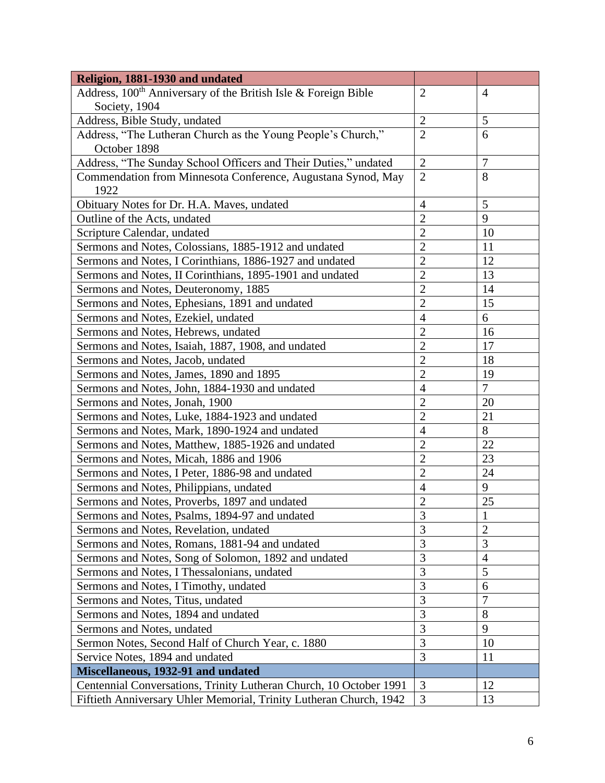| Religion, 1881-1930 and undated                                            |                |                |
|----------------------------------------------------------------------------|----------------|----------------|
| Address, 100 <sup>th</sup> Anniversary of the British Isle & Foreign Bible | $\overline{2}$ | $\overline{4}$ |
| Society, 1904                                                              |                |                |
| Address, Bible Study, undated                                              | $\overline{2}$ | $\mathfrak{S}$ |
| Address, "The Lutheran Church as the Young People's Church,"               | $\overline{2}$ | 6              |
| October 1898                                                               |                |                |
| Address, "The Sunday School Officers and Their Duties," undated            | $\overline{2}$ | $\tau$         |
| Commendation from Minnesota Conference, Augustana Synod, May               | $\overline{2}$ | 8              |
| 1922                                                                       |                |                |
| Obituary Notes for Dr. H.A. Maves, undated                                 | $\overline{4}$ | 5              |
| Outline of the Acts, undated                                               | $\overline{2}$ | 9              |
| Scripture Calendar, undated                                                | $\overline{c}$ | 10             |
| Sermons and Notes, Colossians, 1885-1912 and undated                       | $\overline{2}$ | 11             |
| Sermons and Notes, I Corinthians, 1886-1927 and undated                    | $\overline{2}$ | 12             |
| Sermons and Notes, II Corinthians, 1895-1901 and undated                   | $\overline{2}$ | 13             |
| Sermons and Notes, Deuteronomy, 1885                                       | $\overline{2}$ | 14             |
| Sermons and Notes, Ephesians, 1891 and undated                             | $\overline{2}$ | 15             |
| Sermons and Notes, Ezekiel, undated                                        | $\overline{4}$ | 6              |
| Sermons and Notes, Hebrews, undated                                        | $\overline{2}$ | 16             |
| Sermons and Notes, Isaiah, 1887, 1908, and undated                         | $\overline{c}$ | 17             |
| Sermons and Notes, Jacob, undated                                          | $\overline{2}$ | 18             |
| Sermons and Notes, James, 1890 and 1895                                    | $\overline{2}$ | 19             |
| Sermons and Notes, John, 1884-1930 and undated                             | $\overline{4}$ | $\overline{7}$ |
| Sermons and Notes, Jonah, 1900                                             | $\overline{2}$ | 20             |
| Sermons and Notes, Luke, 1884-1923 and undated                             | $\overline{2}$ | 21             |
| Sermons and Notes, Mark, 1890-1924 and undated                             | $\overline{4}$ | 8              |
| Sermons and Notes, Matthew, 1885-1926 and undated                          | $\overline{2}$ | 22             |
| Sermons and Notes, Micah, 1886 and 1906                                    | $\overline{2}$ | 23             |
| Sermons and Notes, I Peter, 1886-98 and undated                            | $\overline{2}$ | 24             |
| Sermons and Notes, Philippians, undated                                    | $\overline{4}$ | 9              |
| Sermons and Notes, Proverbs, 1897 and undated                              | $\overline{c}$ | 25             |
| Sermons and Notes, Psalms, 1894-97 and undated                             | 3              | $\mathbf{1}$   |
| Sermons and Notes, Revelation, undated                                     | $\overline{3}$ | $\overline{2}$ |
| Sermons and Notes, Romans, 1881-94 and undated                             | $\overline{3}$ | 3              |
| Sermons and Notes, Song of Solomon, 1892 and undated                       | $\overline{3}$ | $\overline{4}$ |
| Sermons and Notes, I Thessalonians, undated                                | $\overline{3}$ | 5              |
| Sermons and Notes, I Timothy, undated                                      | $\overline{3}$ | 6              |
| Sermons and Notes, Titus, undated                                          | $\overline{3}$ | $\overline{7}$ |
| Sermons and Notes, 1894 and undated                                        | $\overline{3}$ | 8              |
| Sermons and Notes, undated                                                 | $\overline{3}$ | 9              |
| Sermon Notes, Second Half of Church Year, c. 1880                          | $\overline{3}$ | 10             |
| Service Notes, 1894 and undated                                            | 3              | 11             |
| Miscellaneous, 1932-91 and undated                                         |                |                |
| Centennial Conversations, Trinity Lutheran Church, 10 October 1991         | 3              | 12             |
| Fiftieth Anniversary Uhler Memorial, Trinity Lutheran Church, 1942         | 3              | 13             |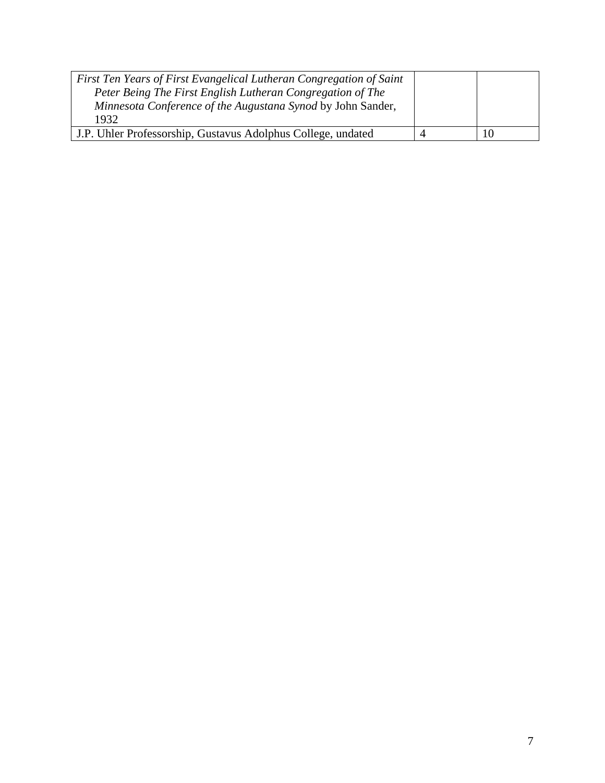| First Ten Years of First Evangelical Lutheran Congregation of Saint<br>Peter Being The First English Lutheran Congregation of The<br>Minnesota Conference of the Augustana Synod by John Sander,<br>1932 |  |
|----------------------------------------------------------------------------------------------------------------------------------------------------------------------------------------------------------|--|
| J.P. Uhler Professorship, Gustavus Adolphus College, undated                                                                                                                                             |  |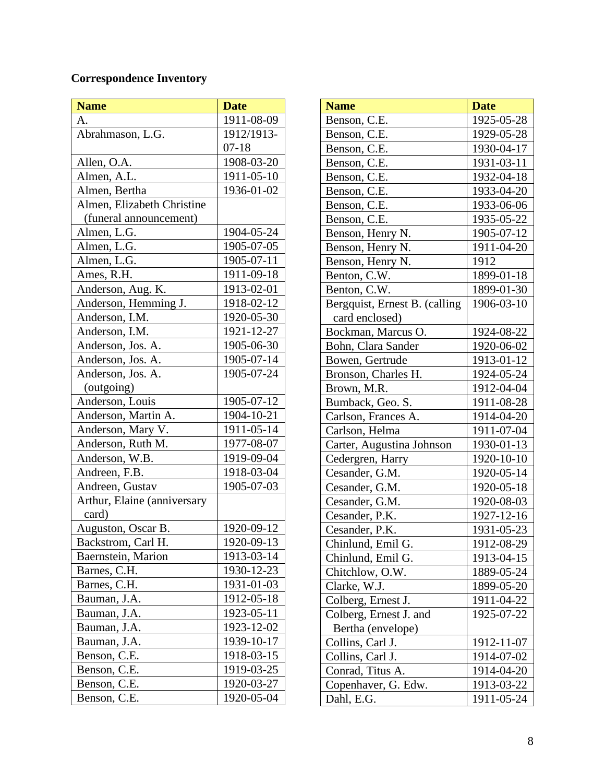## **Correspondence Inventory**

| <b>Name</b>                 | <b>Date</b> |
|-----------------------------|-------------|
| A.                          | 1911-08-09  |
| Abrahmason, L.G.            | 1912/1913-  |
|                             | $07-18$     |
| Allen, O.A.                 | 1908-03-20  |
| Almen, A.L.                 | 1911-05-10  |
| Almen, Bertha               | 1936-01-02  |
| Almen, Elizabeth Christine  |             |
| (funeral announcement)      |             |
| Almen, L.G.                 | 1904-05-24  |
| Almen, L.G.                 | 1905-07-05  |
| Almen, L.G.                 | 1905-07-11  |
| Ames, R.H.                  | 1911-09-18  |
| Anderson, Aug. K.           | 1913-02-01  |
| Anderson, Hemming J.        | 1918-02-12  |
| Anderson, I.M.              | 1920-05-30  |
| Anderson, I.M.              | 1921-12-27  |
| Anderson, Jos. A.           | 1905-06-30  |
| Anderson, Jos. A.           | 1905-07-14  |
| Anderson, Jos. A.           | 1905-07-24  |
| (outgoing)                  |             |
| Anderson, Louis             | 1905-07-12  |
| Anderson, Martin A.         | 1904-10-21  |
| Anderson, Mary V.           | 1911-05-14  |
| Anderson, Ruth M.           | 1977-08-07  |
| Anderson, W.B.              | 1919-09-04  |
| Andreen, F.B.               | 1918-03-04  |
| Andreen, Gustav             | 1905-07-03  |
| Arthur, Elaine (anniversary |             |
| card)                       |             |
| Auguston, Oscar B.          | 1920-09-12  |
| Backstrom, Carl H.          | 1920-09-13  |
| Baernstein, Marion          | 1913-03-14  |
| Barnes, C.H.                | 1930-12-23  |
| Barnes, C.H.                | 1931-01-03  |
| Bauman, J.A.                | 1912-05-18  |
| Bauman, J.A.                | 1923-05-11  |
| Bauman, J.A.                | 1923-12-02  |
| Bauman, J.A.                | 1939-10-17  |
| Benson, C.E.                | 1918-03-15  |
| Benson, C.E.                | 1919-03-25  |
| Benson, C.E.                | 1920-03-27  |
| Benson, C.E.                | 1920-05-04  |

| <b>Name</b>                   | <b>Date</b> |
|-------------------------------|-------------|
| Benson, C.E.                  | 1925-05-28  |
| Benson, C.E.                  | 1929-05-28  |
| Benson, C.E.                  | 1930-04-17  |
| Benson, C.E.                  | 1931-03-11  |
| Benson, C.E.                  | 1932-04-18  |
| Benson, C.E.                  | 1933-04-20  |
| Benson, C.E.                  | 1933-06-06  |
| Benson, C.E.                  | 1935-05-22  |
| Benson, Henry N.              | 1905-07-12  |
| Benson, Henry N.              | 1911-04-20  |
| Benson, Henry N.              | 1912        |
| Benton, C.W.                  | 1899-01-18  |
| Benton, C.W.                  | 1899-01-30  |
| Bergquist, Ernest B. (calling | 1906-03-10  |
| card enclosed)                |             |
| Bockman, Marcus O.            | 1924-08-22  |
| Bohn, Clara Sander            | 1920-06-02  |
| Bowen, Gertrude               | 1913-01-12  |
| Bronson, Charles H.           | 1924-05-24  |
| Brown, M.R.                   | 1912-04-04  |
| Bumback, Geo. S.              | 1911-08-28  |
| Carlson, Frances A.           | 1914-04-20  |
| Carlson, Helma                | 1911-07-04  |
| Carter, Augustina Johnson     | 1930-01-13  |
| Cedergren, Harry              | 1920-10-10  |
| Cesander, G.M.                | 1920-05-14  |
| Cesander, G.M.                | 1920-05-18  |
| Cesander, G.M.                | 1920-08-03  |
| Cesander, P.K.                | 1927-12-16  |
| Cesander, P.K.                | 1931-05-23  |
| Chinlund, Emil G.             | 1912-08-29  |
| Chinlund, Emil G.             | 1913-04-15  |
| Chitchlow, O.W.               | 1889-05-24  |
| Clarke, W.J.                  | 1899-05-20  |
| Colberg, Ernest J.            | 1911-04-22  |
| Colberg, Ernest J. and        | 1925-07-22  |
| Bertha (envelope)             |             |
| Collins, Carl J.              | 1912-11-07  |
| Collins, Carl J.              | 1914-07-02  |
| Conrad, Titus A.              | 1914-04-20  |
| Copenhaver, G. Edw.           | 1913-03-22  |
| Dahl, E.G.                    | 1911-05-24  |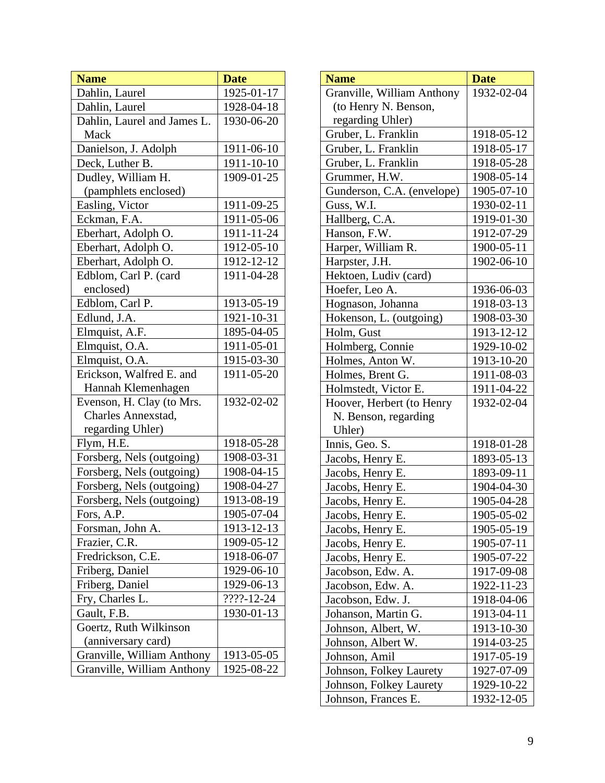| <b>Name</b>                 | <b>Date</b> |
|-----------------------------|-------------|
| Dahlin, Laurel              | 1925-01-17  |
| Dahlin, Laurel              | 1928-04-18  |
| Dahlin, Laurel and James L. | 1930-06-20  |
| Mack                        |             |
| Danielson, J. Adolph        | 1911-06-10  |
| Deck, Luther B.             | 1911-10-10  |
| Dudley, William H.          | 1909-01-25  |
| (pamphlets enclosed)        |             |
| Easling, Victor             | 1911-09-25  |
| Eckman, F.A.                | 1911-05-06  |
| Eberhart, Adolph O.         | 1911-11-24  |
| Eberhart, Adolph O.         | 1912-05-10  |
| Eberhart, Adolph O.         | 1912-12-12  |
| Edblom, Carl P. (card       | 1911-04-28  |
| enclosed)                   |             |
| Edblom, Carl P.             | 1913-05-19  |
| Edlund, J.A.                | 1921-10-31  |
| Elmquist, A.F.              | 1895-04-05  |
| Elmquist, O.A.              | 1911-05-01  |
| Elmquist, O.A.              | 1915-03-30  |
| Erickson, Walfred E. and    | 1911-05-20  |
| Hannah Klemenhagen          |             |
| Evenson, H. Clay (to Mrs.   | 1932-02-02  |
| <b>Charles Annexstad,</b>   |             |
| regarding Uhler)            |             |
| Flym, H.E.                  | 1918-05-28  |
| Forsberg, Nels (outgoing)   | 1908-03-31  |
| Forsberg, Nels (outgoing)   | 1908-04-15  |
| Forsberg, Nels (outgoing)   | 1908-04-27  |
| Forsberg, Nels (outgoing)   | 1913-08-19  |
| Fors, A.P.                  | 1905-07-04  |
| Forsman, John A.            | 1913-12-13  |
| Frazier, C.R.               | 1909-05-12  |
| Fredrickson, C.E.           | 1918-06-07  |
| Friberg, Daniel             | 1929-06-10  |
| Friberg, Daniel             | 1929-06-13  |
| Fry, Charles L.             | ????-12-24  |
| Gault, F.B.                 | 1930-01-13  |
| Goertz, Ruth Wilkinson      |             |
| (anniversary card)          |             |
| Granville, William Anthony  | 1913-05-05  |
| Granville, William Anthony  | 1925-08-22  |

| <b>Name</b>                | <b>Date</b> |
|----------------------------|-------------|
| Granville, William Anthony | 1932-02-04  |
| (to Henry N. Benson,       |             |
| regarding Uhler)           |             |
| Gruber, L. Franklin        | 1918-05-12  |
| Gruber, L. Franklin        | 1918-05-17  |
| Gruber, L. Franklin        | 1918-05-28  |
| Grummer, H.W.              | 1908-05-14  |
| Gunderson, C.A. (envelope) | 1905-07-10  |
| Guss, W.I.                 | 1930-02-11  |
| Hallberg, C.A.             | 1919-01-30  |
| Hanson, F.W.               | 1912-07-29  |
| Harper, William R.         | 1900-05-11  |
| Harpster, J.H.             | 1902-06-10  |
| Hektoen, Ludiv (card)      |             |
| Hoefer, Leo A.             | 1936-06-03  |
| Hognason, Johanna          | 1918-03-13  |
| Hokenson, L. (outgoing)    | 1908-03-30  |
| Holm, Gust                 | 1913-12-12  |
| Holmberg, Connie           | 1929-10-02  |
| Holmes, Anton W.           | 1913-10-20  |
| Holmes, Brent G.           | 1911-08-03  |
| Holmstedt, Victor E.       | 1911-04-22  |
| Hoover, Herbert (to Henry  | 1932-02-04  |
| N. Benson, regarding       |             |
| Uhler)                     |             |
| Innis, Geo. S.             | 1918-01-28  |
| Jacobs, Henry E.           | 1893-05-13  |
| Jacobs, Henry E.           | 1893-09-11  |
| Jacobs, Henry E.           | 1904-04-30  |
| Jacobs, Henry E.           | 1905-04-28  |
| Jacobs, Henry E.           | 1905-05-02  |
| Jacobs, Henry E.           | 1905-05-19  |
| Jacobs, Henry E.           | 1905-07-11  |
| Jacobs, Henry E.           | 1905-07-22  |
| Jacobson, Edw. A.          | 1917-09-08  |
| Jacobson, Edw. A.          | 1922-11-23  |
| Jacobson, Edw. J.          | 1918-04-06  |
| Johanson, Martin G.        | 1913-04-11  |
| Johnson, Albert, W.        | 1913-10-30  |
| Johnson, Albert W.         | 1914-03-25  |
| Johnson, Amil              | 1917-05-19  |
| Johnson, Folkey Laurety    | 1927-07-09  |
| Johnson, Folkey Laurety    | 1929-10-22  |
| Johnson, Frances E.        | 1932-12-05  |
|                            |             |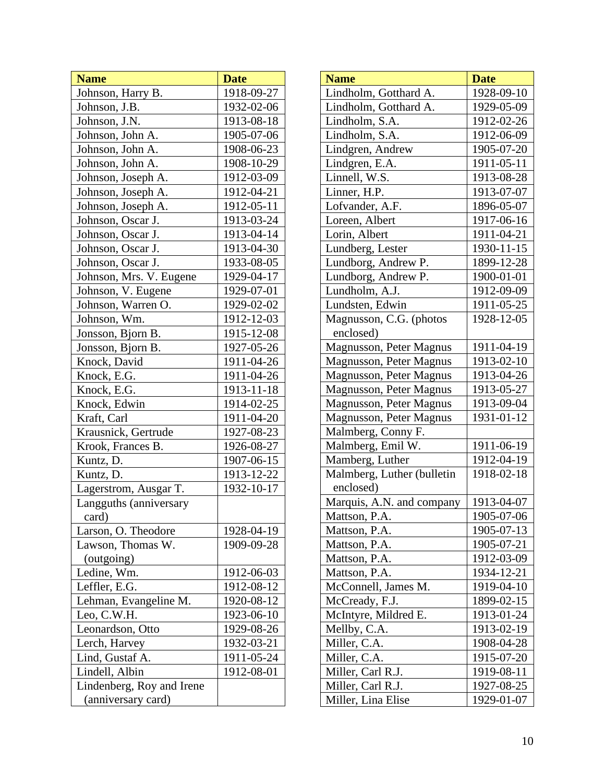| <b>Name</b>               | <b>Date</b> |
|---------------------------|-------------|
| Johnson, Harry B.         | 1918-09-27  |
| Johnson, J.B.             | 1932-02-06  |
| Johnson, J.N.             | 1913-08-18  |
| Johnson, John A.          | 1905-07-06  |
| Johnson, John A.          | 1908-06-23  |
| Johnson, John A.          | 1908-10-29  |
| Johnson, Joseph A.        | 1912-03-09  |
| Johnson, Joseph A.        | 1912-04-21  |
| Johnson, Joseph A.        | 1912-05-11  |
| Johnson, Oscar J.         | 1913-03-24  |
| Johnson, Oscar J.         | 1913-04-14  |
| Johnson, Oscar J.         | 1913-04-30  |
| Johnson, Oscar J.         | 1933-08-05  |
| Johnson, Mrs. V. Eugene   | 1929-04-17  |
| Johnson, V. Eugene        | 1929-07-01  |
| Johnson, Warren O.        | 1929-02-02  |
| Johnson, Wm.              | 1912-12-03  |
| Jonsson, Bjorn B.         | 1915-12-08  |
| Jonsson, Bjorn B.         | 1927-05-26  |
| Knock, David              | 1911-04-26  |
| Knock, E.G.               | 1911-04-26  |
| Knock, E.G.               | 1913-11-18  |
| Knock, Edwin              | 1914-02-25  |
| Kraft, Carl               | 1911-04-20  |
| Krausnick, Gertrude       | 1927-08-23  |
| Krook, Frances B.         | 1926-08-27  |
| Kuntz, D.                 | 1907-06-15  |
| Kuntz, D.                 | 1913-12-22  |
| Lagerstrom, Ausgar T.     | 1932-10-17  |
| Langguths (anniversary    |             |
| card)                     |             |
| Larson, O. Theodore       | 1928-04-19  |
| Lawson, Thomas W.         | 1909-09-28  |
| (outgoing)                |             |
| Ledine, Wm.               | 1912-06-03  |
| Leffler, E.G.             | 1912-08-12  |
| Lehman, Evangeline M.     | 1920-08-12  |
| Leo, C.W.H.               | 1923-06-10  |
| Leonardson, Otto          | 1929-08-26  |
| Lerch, Harvey             | 1932-03-21  |
| Lind, Gustaf A.           | 1911-05-24  |
| Lindell, Albin            | 1912-08-01  |
| Lindenberg, Roy and Irene |             |
| (anniversary card)        |             |

| <b>Name</b>                  | <b>Date</b> |
|------------------------------|-------------|
| Lindholm, Gotthard A.        | 1928-09-10  |
| Lindholm, Gotthard A.        | 1929-05-09  |
| Lindholm, S.A.               | 1912-02-26  |
| Lindholm, S.A.               | 1912-06-09  |
| Lindgren, Andrew             | 1905-07-20  |
| Lindgren, E.A.               | 1911-05-11  |
| Linnell, W.S.                | 1913-08-28  |
| Linner, H.P.                 | 1913-07-07  |
| Lofvander, A.F.              | 1896-05-07  |
| Loreen, Albert               | 1917-06-16  |
| Lorin, Albert                | 1911-04-21  |
| Lundberg, Lester             | 1930-11-15  |
| Lundborg, Andrew P.          | 1899-12-28  |
| Lundborg, Andrew P.          | 1900-01-01  |
| Lundholm, A.J.               | 1912-09-09  |
| Lundsten, Edwin              | 1911-05-25  |
| Magnusson, C.G. (photos      | 1928-12-05  |
| enclosed)                    |             |
| Magnusson, Peter Magnus      | 1911-04-19  |
| Magnusson, Peter Magnus      | 1913-02-10  |
| Magnusson, Peter Magnus      | 1913-04-26  |
| Magnusson, Peter Magnus      | 1913-05-27  |
| Magnusson, Peter Magnus      | 1913-09-04  |
| Magnusson, Peter Magnus      | 1931-01-12  |
| Malmberg, Conny F.           |             |
| Malmberg, Emil W.            | 1911-06-19  |
| Mamberg, Luther              | 1912-04-19  |
| Malmberg, Luther (bulletin   | 1918-02-18  |
| enclosed)                    |             |
| Marquis, A.N. and company    | 1913-04-07  |
| Mattson, P.A.                | 1905-07-06  |
| Mattson, P.A.                | 1905-07-13  |
| Mattson, P.A.                | 1905-07-21  |
| Mattson, P.A.                | 1912-03-09  |
| Mattson, P.A.                | 1934-12-21  |
| McConnell, James M.          | 1919-04-10  |
| McCready, F.J.               | 1899-02-15  |
| McIntyre, Mildred E.         | 1913-01-24  |
|                              | 1913-02-19  |
| Miller, C.A.                 | 1908-04-28  |
|                              | 1915-07-20  |
| Miller, Carl R.J.            | 1919-08-11  |
| Miller, Carl R.J.            | 1927-08-25  |
| Miller, Lina Elise           | 1929-01-07  |
| Mellby, C.A.<br>Miller, C.A. |             |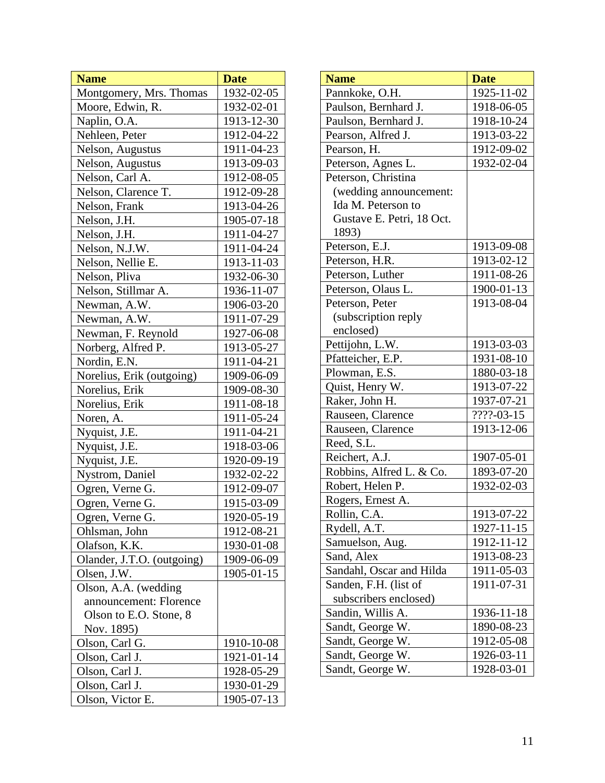| <b>Name</b>                | <b>Date</b> |
|----------------------------|-------------|
| Montgomery, Mrs. Thomas    | 1932-02-05  |
| Moore, Edwin, R.           | 1932-02-01  |
| Naplin, O.A.               | 1913-12-30  |
| Nehleen, Peter             | 1912-04-22  |
| Nelson, Augustus           | 1911-04-23  |
| Nelson, Augustus           | 1913-09-03  |
| Nelson, Carl A.            | 1912-08-05  |
| Nelson, Clarence T.        | 1912-09-28  |
| Nelson, Frank              | 1913-04-26  |
| Nelson, J.H.               | 1905-07-18  |
| Nelson, J.H.               | 1911-04-27  |
| Nelson, N.J.W.             | 1911-04-24  |
| Nelson, Nellie E.          | 1913-11-03  |
| Nelson, Pliva              | 1932-06-30  |
| Nelson, Stillmar A.        | 1936-11-07  |
| Newman, A.W.               | 1906-03-20  |
| Newman, A.W.               | 1911-07-29  |
| Newman, F. Reynold         | 1927-06-08  |
| Norberg, Alfred P.         | 1913-05-27  |
| Nordin, E.N.               | 1911-04-21  |
| Norelius, Erik (outgoing)  | 1909-06-09  |
| Norelius, Erik             | 1909-08-30  |
| Norelius, Erik             | 1911-08-18  |
| Noren, A.                  | 1911-05-24  |
| Nyquist, J.E.              | 1911-04-21  |
| Nyquist, J.E.              | 1918-03-06  |
| Nyquist, J.E.              | 1920-09-19  |
| Nystrom, Daniel            | 1932-02-22  |
| Ogren, Verne G.            | 1912-09-07  |
| Ogren, Verne G.            | 1915-03-09  |
| Ogren, Verne G.            | 1920-05-19  |
| Ohlsman, John              | 1912-08-21  |
| Olafson, K.K.              | 1930-01-08  |
| Olander, J.T.O. (outgoing) | 1909-06-09  |
| Olsen, J.W.                | 1905-01-15  |
| Olson, A.A. (wedding       |             |
| announcement: Florence     |             |
| Olson to E.O. Stone, 8     |             |
| Nov. 1895)                 |             |
| Olson, Carl G.             | 1910-10-08  |
| Olson, Carl J.             | 1921-01-14  |
| Olson, Carl J.             | 1928-05-29  |
| Olson, Carl J.             | 1930-01-29  |
| Olson, Victor E.           | 1905-07-13  |

| <b>Name</b>               | <b>Date</b> |
|---------------------------|-------------|
| Pannkoke, O.H.            | 1925-11-02  |
| Paulson, Bernhard J.      | 1918-06-05  |
| Paulson, Bernhard J.      | 1918-10-24  |
| Pearson, Alfred J.        | 1913-03-22  |
| Pearson, H.               | 1912-09-02  |
| Peterson, Agnes L.        | 1932-02-04  |
| Peterson, Christina       |             |
| (wedding announcement:    |             |
| Ida M. Peterson to        |             |
| Gustave E. Petri, 18 Oct. |             |
| 1893)                     |             |
| Peterson, E.J.            | 1913-09-08  |
| Peterson, H.R.            | 1913-02-12  |
| Peterson, Luther          | 1911-08-26  |
| Peterson, Olaus L.        | 1900-01-13  |
| Peterson, Peter           | 1913-08-04  |
| (subscription reply       |             |
| enclosed)                 |             |
| Pettijohn, L.W.           | 1913-03-03  |
| Pfatteicher, E.P.         | 1931-08-10  |
| Plowman, E.S.             | 1880-03-18  |
| Quist, Henry W.           | 1913-07-22  |
| Raker, John H.            | 1937-07-21  |
| Rauseen, Clarence         | ????-03-15  |
| Rauseen, Clarence         | 1913-12-06  |
| Reed, S.L.                |             |
| Reichert, A.J.            | 1907-05-01  |
| Robbins, Alfred L. & Co.  | 1893-07-20  |
| Robert, Helen P.          | 1932-02-03  |
| Rogers, Ernest A.         |             |
| Rollin, C.A               | 1913-07-22  |
| Rydell, A.T.              | 1927-11-15  |
| Samuelson, Aug.           | 1912-11-12  |
| Sand, Alex                | 1913-08-23  |
| Sandahl, Oscar and Hilda  | 1911-05-03  |
| Sanden, F.H. (list of     | 1911-07-31  |
| subscribers enclosed)     |             |
| Sandin, Willis A.         | 1936-11-18  |
| Sandt, George W.          | 1890-08-23  |
| Sandt, George W.          | 1912-05-08  |
| Sandt, George W.          | 1926-03-11  |
| Sandt, George W.          | 1928-03-01  |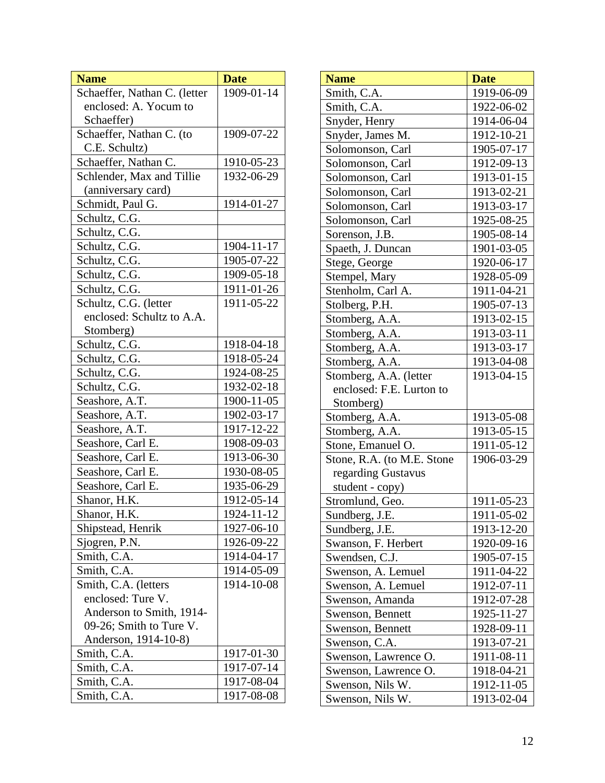| Schaeffer, Nathan C. (letter<br>1909-01-14<br>enclosed: A. Yocum to<br>Schaeffer) |  |
|-----------------------------------------------------------------------------------|--|
|                                                                                   |  |
|                                                                                   |  |
|                                                                                   |  |
| Schaeffer, Nathan C. (to<br>1909-07-22                                            |  |
| C.E. Schultz)                                                                     |  |
| Schaeffer, Nathan C.<br>1910-05-23                                                |  |
| Schlender, Max and Tillie<br>1932-06-29                                           |  |
| (anniversary card)                                                                |  |
| Schmidt, Paul G.<br>1914-01-27                                                    |  |
| Schultz, C.G.                                                                     |  |
| Schultz, C.G.                                                                     |  |
| Schultz, C.G.<br>1904-11-17                                                       |  |
| Schultz, C.G.<br>1905-07-22                                                       |  |
| Schultz, C.G.<br>1909-05-18                                                       |  |
| Schultz, C.G.<br>1911-01-26                                                       |  |
| Schultz, C.G. (letter<br>1911-05-22                                               |  |
| enclosed: Schultz to A.A.                                                         |  |
| Stomberg)                                                                         |  |
| Schultz, C.G.<br>1918-04-18                                                       |  |
| Schultz, C.G.<br>1918-05-24                                                       |  |
| 1924-08-25<br>Schultz, C.G.                                                       |  |
| Schultz, C.G.<br>1932-02-18                                                       |  |
| Seashore, A.T.<br>1900-11-05                                                      |  |
| Seashore, A.T.<br>1902-03-17                                                      |  |
| Seashore, A.T.<br>1917-12-22                                                      |  |
| Seashore, Carl E.<br>1908-09-03                                                   |  |
| 1913-06-30<br>Seashore, Carl E.                                                   |  |
| Seashore, Carl E.<br>1930-08-05                                                   |  |
| 1935-06-29<br>Seashore, Carl E.                                                   |  |
| 1912-05-14<br>Shanor, H.K.                                                        |  |
| 1924-11-12<br>Shanor, H.K.                                                        |  |
| Shipstead, Henrik<br>1927-06-10                                                   |  |
| Sjogren, P.N.<br>1926-09-22                                                       |  |
| 1914-04-17<br>Smith, C.A.                                                         |  |
| Smith, C.A.<br>1914-05-09                                                         |  |
| Smith, C.A. (letters<br>1914-10-08                                                |  |
| enclosed: Ture V.                                                                 |  |
| Anderson to Smith, 1914-                                                          |  |
| 09-26; Smith to Ture V.                                                           |  |
| Anderson, 1914-10-8)                                                              |  |
| Smith, C.A.<br>1917-01-30                                                         |  |
| Smith, C.A.<br>1917-07-14                                                         |  |
| Smith, C.A.<br>1917-08-04                                                         |  |
| Smith, C.A.<br>1917-08-08                                                         |  |

| <b>Name</b>                | <b>Date</b> |
|----------------------------|-------------|
| Smith, C.A.                | 1919-06-09  |
| Smith, C.A.                | 1922-06-02  |
| Snyder, Henry              | 1914-06-04  |
| Snyder, James M.           | 1912-10-21  |
| Solomonson, Carl           | 1905-07-17  |
| Solomonson, Carl           | 1912-09-13  |
| Solomonson, Carl           | 1913-01-15  |
| Solomonson, Carl           | 1913-02-21  |
| Solomonson, Carl           | 1913-03-17  |
| Solomonson, Carl           | 1925-08-25  |
| Sorenson, J.B.             | 1905-08-14  |
| Spaeth, J. Duncan          | 1901-03-05  |
| Stege, George              | 1920-06-17  |
| Stempel, Mary              | 1928-05-09  |
| Stenholm, Carl A.          | 1911-04-21  |
| Stolberg, P.H.             | 1905-07-13  |
| Stomberg, A.A.             | 1913-02-15  |
| Stomberg, A.A.             | 1913-03-11  |
| Stomberg, A.A.             | 1913-03-17  |
| Stomberg, A.A.             | 1913-04-08  |
| Stomberg, A.A. (letter     | 1913-04-15  |
| enclosed: F.E. Lurton to   |             |
| Stomberg)                  |             |
| Stomberg, A.A.             | 1913-05-08  |
| Stomberg, A.A.             | 1913-05-15  |
| Stone, Emanuel O.          | 1911-05-12  |
| Stone, R.A. (to M.E. Stone | 1906-03-29  |
| regarding Gustavus         |             |
| student - copy)            |             |
| Stromlund, Geo.            | 1911-05-23  |
| Sundberg, J.E.             | 1911-05-02  |
| Sundberg, J.E.             | 1913-12-20  |
| Swanson, F. Herbert        | 1920-09-16  |
| Swendsen, C.J.             | 1905-07-15  |
| Swenson, A. Lemuel         | 1911-04-22  |
| Swenson, A. Lemuel         | 1912-07-11  |
| Swenson, Amanda            | 1912-07-28  |
| Swenson, Bennett           | 1925-11-27  |
| Swenson, Bennett           | 1928-09-11  |
| Swenson, C.A.              | 1913-07-21  |
| Swenson, Lawrence O.       | 1911-08-11  |
| Swenson, Lawrence O.       | 1918-04-21  |
| Swenson, Nils W.           | 1912-11-05  |
| Swenson, Nils W.           | 1913-02-04  |